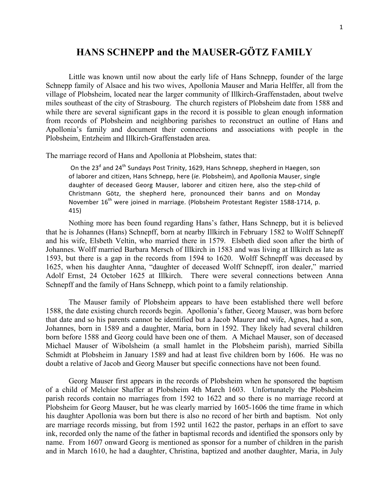## **HANS SCHNEPP and the MAUSER-GÖTZ FAMILY**

Little was known until now about the early life of Hans Schnepp, founder of the large Schnepp family of Alsace and his two wives, Apollonia Mauser and Maria Helffer, all from the village of Plobsheim, located near the larger community of Illkirch-Graffenstaden, about twelve miles southeast of the city of Strasbourg. The church registers of Plobsheim date from 1588 and while there are several significant gaps in the record it is possible to glean enough information from records of Plobsheim and neighboring parishes to reconstruct an outline of Hans and Apollonia's family and document their connections and associations with people in the Plobsheim, Entzheim and Illkirch-Graffenstaden area.

The marriage record of Hans and Apollonia at Plobsheim, states that:

On the 23<sup>d</sup> and 24<sup>th</sup> Sundays Post Trinity, 1629, Hans Schnepp, shepherd in Haegen, son of laborer and citizen, Hans Schnepp, here (*ie.* Plobsheim), and Apollonia Mauser, single daughter of deceased Georg Mauser, laborer and citizen here, also the step-child of Christmann Götz, the shepherd here, pronounced their banns and on Monday November 16<sup>th</sup> were joined in marriage. (Plobsheim Protestant Register 1588-1714, p. 415)

Nothing more has been found regarding Hans's father, Hans Schnepp, but it is believed that he is Johannes (Hans) Schnepff, born at nearby Illkirch in February 1582 to Wolff Schnepff and his wife, Elsbeth Veltin, who married there in 1579. Elsbeth died soon after the birth of Johannes. Wolff married Barbara Mersch of Illkirch in 1583 and was living at Illkirch as late as 1593, but there is a gap in the records from 1594 to 1620. Wolff Schnepff was deceased by 1625, when his daughter Anna, "daughter of deceased Wolff Schnepff, iron dealer," married Adolf Ernst, 24 October 1625 at Illkirch. There were several connections between Anna Schnepff and the family of Hans Schnepp, which point to a family relationship.

The Mauser family of Plobsheim appears to have been established there well before 1588, the date existing church records begin. Apollonia's father, Georg Mauser, was born before that date and so his parents cannot be identified but a Jacob Maurer and wife, Agnes, had a son, Johannes, born in 1589 and a daughter, Maria, born in 1592. They likely had several children born before 1588 and Georg could have been one of them. A Michael Mauser, son of deceased Michael Mauser of Wibolsheim (a small hamlet in the Plobsheim parish), married Sibilla Schmidt at Plobsheim in January 1589 and had at least five children born by 1606. He was no doubt a relative of Jacob and Georg Mauser but specific connections have not been found.

Georg Mauser first appears in the records of Plobsheim when he sponsored the baptism of a child of Melchior Shaffer at Plobsheim 4th March 1603. Unfortunately the Plobsheim parish records contain no marriages from 1592 to 1622 and so there is no marriage record at Plobsheim for Georg Mauser, but he was clearly married by 1605-1606 the time frame in which his daughter Apollonia was born but there is also no record of her birth and baptism. Not only are marriage records missing, but from 1592 until 1622 the pastor, perhaps in an effort to save ink, recorded only the name of the father in baptismal records and identified the sponsors only by name. From 1607 onward Georg is mentioned as sponsor for a number of children in the parish and in March 1610, he had a daughter, Christina, baptized and another daughter, Maria, in July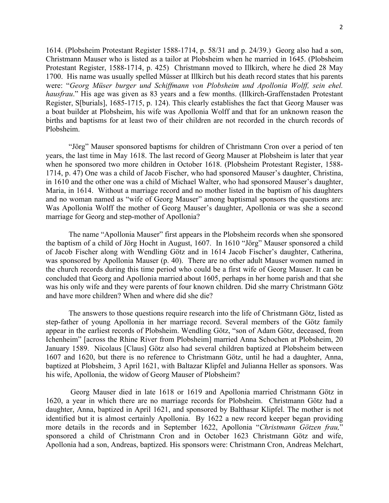1614. (Plobsheim Protestant Register 1588-1714, p. 58/31 and p. 24/39.) Georg also had a son, Christmann Mauser who is listed as a tailor at Plobsheim when he married in 1645. (Plobsheim Protestant Register, 1588-1714, p. 425) Christmann moved to Illkirch, where he died 28 May 1700. His name was usually spelled Müsser at Illkirch but his death record states that his parents were: "*Georg Müser burger und Schiffmann von Plobsheim und Apollonia Wolff, sein ehel. hausfrau*." His age was given as 83 years and a few months. (Illkirch-Graffenstaden Protestant Register, S[burials], 1685-1715, p. 124). This clearly establishes the fact that Georg Mauser was a boat builder at Plobsheim, his wife was Apollonia Wolff and that for an unknown reason the births and baptisms for at least two of their children are not recorded in the church records of Plobsheim.

"Jörg" Mauser sponsored baptisms for children of Christmann Cron over a period of ten years, the last time in May 1618. The last record of Georg Mauser at Plobsheim is later that year when he sponsored two more children in October 1618. (Plobsheim Protestant Register, 1588- 1714, p. 47) One was a child of Jacob Fischer, who had sponsored Mauser's daughter, Christina, in 1610 and the other one was a child of Michael Walter, who had sponsored Mauser's daughter, Maria, in 1614. Without a marriage record and no mother listed in the baptism of his daughters and no woman named as "wife of Georg Mauser" among baptismal sponsors the questions are: Was Apollonia Wolff the mother of Georg Mauser's daughter, Apollonia or was she a second marriage for Georg and step-mother of Apollonia?

The name "Apollonia Mauser" first appears in the Plobsheim records when she sponsored the baptism of a child of Jörg Hocht in August, 1607. In 1610 "Jörg" Mauser sponsored a child of Jacob Fischer along with Wendling Götz and in 1614 Jacob Fischer's daughter, Catherina, was sponsored by Apollonia Mauser (p. 40). There are no other adult Mauser women named in the church records during this time period who could be a first wife of Georg Mauser. It can be concluded that Georg and Apollonia married about 1605, perhaps in her home parish and that she was his only wife and they were parents of four known children. Did she marry Christmann Götz and have more children? When and where did she die?

The answers to those questions require research into the life of Christmann Götz, listed as step-father of young Apollonia in her marriage record. Several members of the Götz family appear in the earliest records of Plobsheim. Wendling Götz, "son of Adam Götz, deceased, from Ichenheim" [across the Rhine River from Plobsheim] married Anna Schochen at Plobsheim, 20 January 1589. Nicolaus [Claus] Götz also had several children baptized at Plobsheim between 1607 and 1620, but there is no reference to Christmann Götz, until he had a daughter, Anna, baptized at Plobsheim, 3 April 1621, with Baltazar Klipfel and Julianna Heller as sponsors. Was his wife, Apollonia, the widow of Georg Mauser of Plobsheim?

 Georg Mauser died in late 1618 or 1619 and Apollonia married Christmann Götz in 1620, a year in which there are no marriage records for Plobsheim. Christmann Götz had a daughter, Anna, baptized in April 1621, and sponsored by Balthasar Klipfel. The mother is not identified but it is almost certainly Apollonia. By 1622 a new record keeper began providing more details in the records and in September 1622, Apollonia "*Christmann Götzen frau,*" sponsored a child of Christmann Cron and in October 1623 Christmann Götz and wife, Apollonia had a son, Andreas, baptized. His sponsors were: Christmann Cron, Andreas Melchart,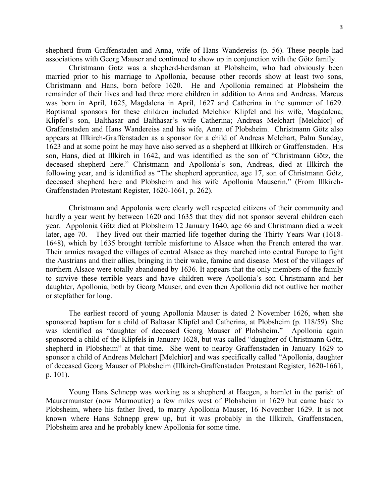shepherd from Graffenstaden and Anna, wife of Hans Wandereiss (p. 56). These people had associations with Georg Mauser and continued to show up in conjunction with the Götz family.

Christmann Gotz was a shepherd-herdsman at Plobsheim, who had obviously been married prior to his marriage to Apollonia, because other records show at least two sons, Christmann and Hans, born before 1620. He and Apollonia remained at Plobsheim the remainder of their lives and had three more children in addition to Anna and Andreas. Marcus was born in April, 1625, Magdalena in April, 1627 and Catherina in the summer of 1629. Baptismal sponsors for these children included Melchior Klipfel and his wife, Magdalena; Klipfel's son, Balthasar and Balthasar's wife Catherina; Andreas Melchart [Melchior] of Graffenstaden and Hans Wandereiss and his wife, Anna of Plobsheim. Christmann Götz also appears at Illkirch-Graffenstaden as a sponsor for a child of Andreas Melchart, Palm Sunday, 1623 and at some point he may have also served as a shepherd at Illkirch or Graffenstaden. His son, Hans, died at Illkirch in 1642, and was identified as the son of "Christmann Götz, the deceased shepherd here." Christmann and Apollonia's son, Andreas, died at Illkirch the following year, and is identified as "The shepherd apprentice, age 17, son of Christmann Götz, deceased shepherd here and Plobsheim and his wife Apollonia Mauserin." (From Illkirch-Graffenstaden Protestant Register, 1620-1661, p. 262).

Christmann and Appolonia were clearly well respected citizens of their community and hardly a year went by between 1620 and 1635 that they did not sponsor several children each year. Appolonia Götz died at Plobsheim 12 January 1640, age 66 and Christmann died a week later, age 70. They lived out their married life together during the Thirty Years War (1618- 1648), which by 1635 brought terrible misfortune to Alsace when the French entered the war. Their armies ravaged the villages of central Alsace as they marched into central Europe to fight the Austrians and their allies, bringing in their wake, famine and disease. Most of the villages of northern Alsace were totally abandoned by 1636. It appears that the only members of the family to survive these terrible years and have children were Apollonia's son Christmann and her daughter, Apollonia, both by Georg Mauser, and even then Apollonia did not outlive her mother or stepfather for long.

The earliest record of young Apollonia Mauser is dated 2 November 1626, when she sponsored baptism for a child of Baltasar Klipfel and Catherina, at Plobsheim (p. 118/59). She was identified as "daughter of deceased Georg Mauser of Plobsheim." Apollonia again sponsored a child of the Klipfels in January 1628, but was called "daughter of Christmann Götz, shepherd in Plobsheim" at that time. She went to nearby Graffenstaden in January 1629 to sponsor a child of Andreas Melchart [Melchior] and was specifically called "Apollonia, daughter of deceased Georg Mauser of Plobsheim (Illkirch-Graffenstaden Protestant Register, 1620-1661, p. 101).

Young Hans Schnepp was working as a shepherd at Haegen, a hamlet in the parish of Maurermunster (now Marmoutier) a few miles west of Plobsheim in 1629 but came back to Plobsheim, where his father lived, to marry Apollonia Mauser, 16 November 1629. It is not known where Hans Schnepp grew up, but it was probably in the Illkirch, Graffenstaden, Plobsheim area and he probably knew Apollonia for some time.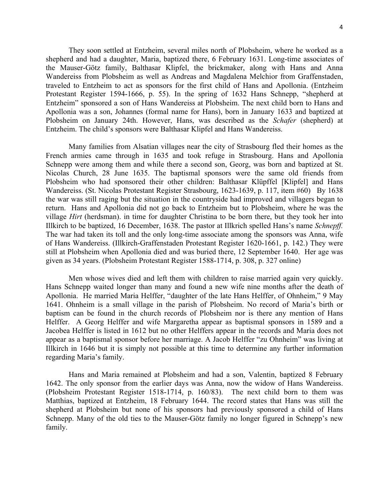They soon settled at Entzheim, several miles north of Plobsheim, where he worked as a shepherd and had a daughter, Maria, baptized there, 6 February 1631. Long-time associates of the Mauser-Götz family, Balthasar Klipfel, the brickmaker, along with Hans and Anna Wandereiss from Plobsheim as well as Andreas and Magdalena Melchior from Graffenstaden, traveled to Entzheim to act as sponsors for the first child of Hans and Apollonia. (Entzheim Protestant Register 1594-1666, p. 55). In the spring of 1632 Hans Schnepp, "shepherd at Entzheim" sponsored a son of Hans Wandereiss at Plobsheim. The next child born to Hans and Apollonia was a son, Johannes (formal name for Hans), born in January 1633 and baptized at Plobsheim on January 24th. However, Hans, was described as the *Schafer* (shepherd) at Entzheim. The child's sponsors were Balthasar Klipfel and Hans Wandereiss.

Many families from Alsatian villages near the city of Strasbourg fled their homes as the French armies came through in 1635 and took refuge in Strasbourg. Hans and Apollonia Schnepp were among them and while there a second son, Georg, was born and baptized at St. Nicolas Church, 28 June 1635. The baptismal sponsors were the same old friends from Plobsheim who had sponsored their other children: Balthasar Klüpffel [Klipfel] and Hans Wandereiss. (St. Nicolas Protestant Register Strasbourg, 1623-1639, p. 117, item #60) By 1638 the war was still raging but the situation in the countryside had improved and villagers began to return. Hans and Apollonia did not go back to Entzheim but to Plobsheim, where he was the village *Hirt* (herdsman). in time for daughter Christina to be born there, but they took her into Illkirch to be baptized, 16 December, 1638. The pastor at Illkrich spelled Hans's name *Schnepff.* The war had taken its toll and the only long-time associate among the sponsors was Anna, wife of Hans Wandereiss. (Illkirch-Graffenstaden Protestant Register 1620-1661, p. 142.) They were still at Plobsheim when Apollonia died and was buried there, 12 September 1640. Her age was given as 34 years. (Plobsheim Protestant Register 1588-1714, p. 308, p. 327 online)

Men whose wives died and left them with children to raise married again very quickly. Hans Schnepp waited longer than many and found a new wife nine months after the death of Apollonia. He married Maria Helffer, "daughter of the late Hans Helffer, of Ohnheim," 9 May 1641. Ohnheim is a small village in the parish of Plobsheim. No record of Maria's birth or baptism can be found in the church records of Plobsheim nor is there any mention of Hans Helffer. A Georg Helffer and wife Margaretha appear as baptismal sponsors in 1589 and a Jacobea Helffer is listed in 1612 but no other Helffers appear in the records and Maria does not appear as a baptismal sponsor before her marriage. A Jacob Helffer "zu Ohnheim" was living at Illkirch in 1646 but it is simply not possible at this time to determine any further information regarding Maria's family.

Hans and Maria remained at Plobsheim and had a son, Valentin, baptized 8 February 1642. The only sponsor from the earlier days was Anna, now the widow of Hans Wandereiss. (Plobsheim Protestant Register 1518-1714, p. 160/83). The next child born to them was Matthias, baptized at Entzheim, 18 February 1644. The record states that Hans was still the shepherd at Plobsheim but none of his sponsors had previously sponsored a child of Hans Schnepp. Many of the old ties to the Mauser-Götz family no longer figured in Schnepp's new family.